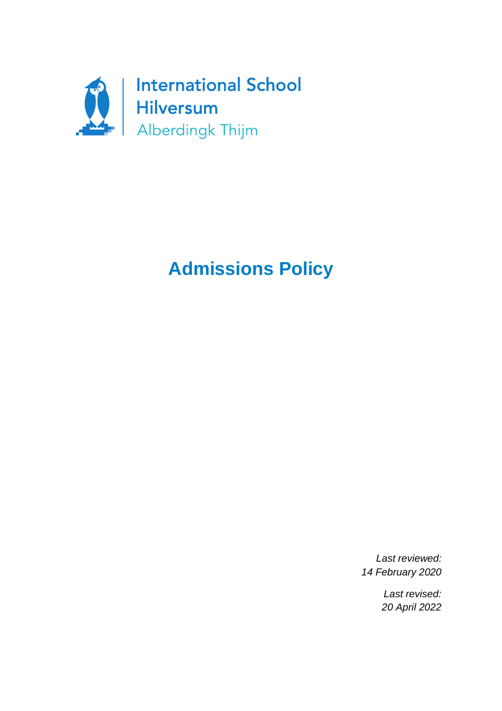

# **Admissions Policy**

*Last reviewed: 14 February 2020*

> *Last revised: 20 April 2022*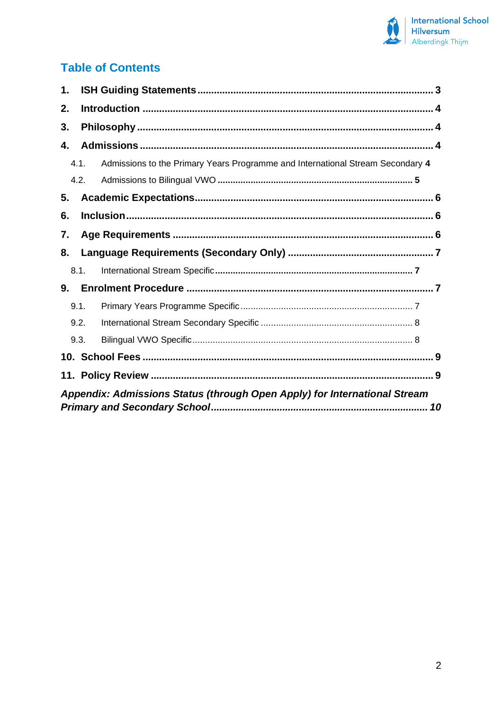

# **Table of Contents**

| 1.                                                                        |      |                                                                                |  |  |
|---------------------------------------------------------------------------|------|--------------------------------------------------------------------------------|--|--|
| 2.                                                                        |      |                                                                                |  |  |
| 3.                                                                        |      |                                                                                |  |  |
| 4.                                                                        |      |                                                                                |  |  |
|                                                                           | 4.1. | Admissions to the Primary Years Programme and International Stream Secondary 4 |  |  |
|                                                                           | 4.2. |                                                                                |  |  |
| 5.                                                                        |      |                                                                                |  |  |
| 6.                                                                        |      |                                                                                |  |  |
| 7.                                                                        |      |                                                                                |  |  |
| 8.                                                                        |      |                                                                                |  |  |
|                                                                           | 8.1. |                                                                                |  |  |
| 9.                                                                        |      |                                                                                |  |  |
|                                                                           | 9.1. |                                                                                |  |  |
|                                                                           | 9.2. |                                                                                |  |  |
|                                                                           | 9.3. |                                                                                |  |  |
|                                                                           |      |                                                                                |  |  |
|                                                                           |      |                                                                                |  |  |
| Appendix: Admissions Status (through Open Apply) for International Stream |      |                                                                                |  |  |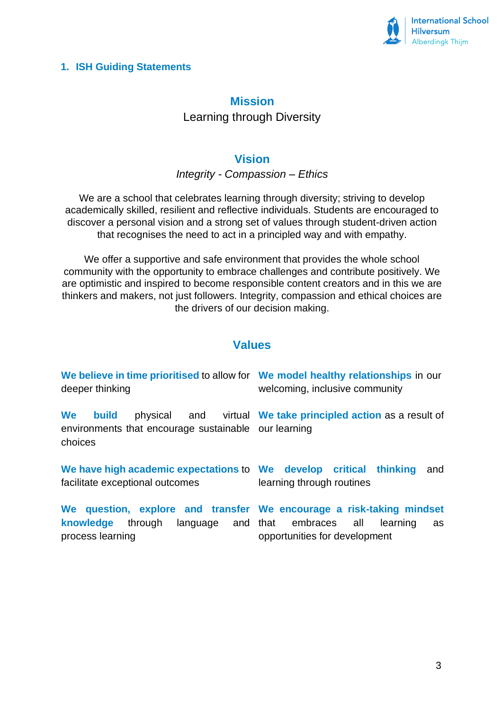

## <span id="page-2-0"></span>**1. ISH Guiding Statements**

# **Mission** Learning through Diversity

# **Vision**

*Integrity - Compassion – Ethics*

We are a school that celebrates learning through diversity; striving to develop academically skilled, resilient and reflective individuals. Students are encouraged to discover a personal vision and a strong set of values through student-driven action that recognises the need to act in a principled way and with empathy.

We offer a supportive and safe environment that provides the whole school community with the opportunity to embrace challenges and contribute positively. We are optimistic and inspired to become responsible content creators and in this we are thinkers and makers, not just followers. Integrity, compassion and ethical choices are the drivers of our decision making.

# **Values**

| We believe in time prioritised to allow for We model healthy relationships in our<br>deeper thinking | welcoming, inclusive community                                |  |  |
|------------------------------------------------------------------------------------------------------|---------------------------------------------------------------|--|--|
| We build<br>environments that encourage sustainable our learning<br>choices                          | physical and virtual We take principled action as a result of |  |  |
| We have high academic expectations to We develop critical thinking                                   | and                                                           |  |  |
| facilitate exceptional outcomes                                                                      | learning through routines                                     |  |  |
| We question, explore and transfer We encourage a risk-taking mindset                                 | learning                                                      |  |  |
| knowledge through language and that embraces all                                                     | as                                                            |  |  |
| process learning                                                                                     | opportunities for development                                 |  |  |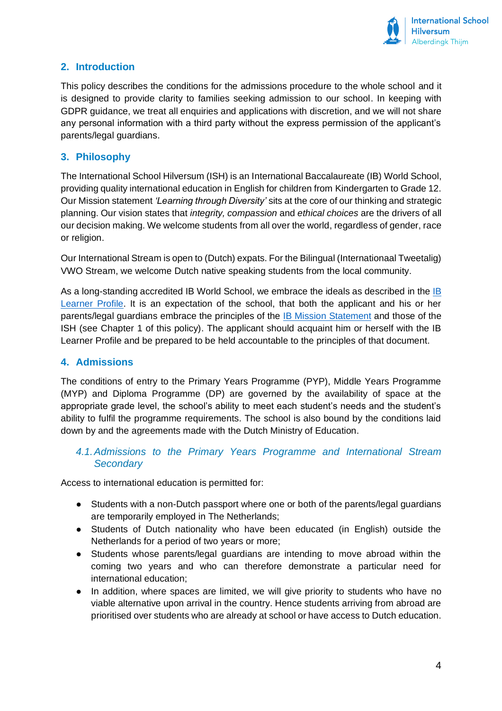

# <span id="page-3-0"></span>**2. Introduction**

This policy describes the conditions for the admissions procedure to the whole school and it is designed to provide clarity to families seeking admission to our school. In keeping with GDPR guidance, we treat all enquiries and applications with discretion, and we will not share any personal information with a third party without the express permission of the applicant's parents/legal guardians.

#### <span id="page-3-1"></span>**3. Philosophy**

The International School Hilversum (ISH) is an International Baccalaureate (IB) World School, providing quality international education in English for children from Kindergarten to Grade 12. Our Mission statement *'Learning through Diversity'* sits at the core of our thinking and strategic planning. Our vision states that *integrity, compassion* and *ethical choices* are the drivers of all our decision making. We welcome students from all over the world, regardless of gender, race or religion.

Our International Stream is open to (Dutch) expats. For the Bilingual (Internationaal Tweetalig) VWO Stream, we welcome Dutch native speaking students from the local community.

As a long-standing accredited [IB](https://www.ibo.org/benefits/learner-profile/) World School, we embrace the ideals as described in the IB [Learner Profile.](https://www.ibo.org/benefits/learner-profile/) It is an expectation of the school, that both the applicant and his or her parents/legal guardians embrace the principles of the [IB Mission Statement](https://www.ibo.org/about-the-ib/mission/#:~:text=The%20International%20Baccalaureate%C2%AE%20aims,through%20intercultural%20understanding%20and%20respect.) and those of the ISH (see Chapter 1 of this policy). The applicant should acquaint him or herself with the IB Learner Profile and be prepared to be held accountable to the principles of that document.

#### <span id="page-3-2"></span>**4. Admissions**

The conditions of entry to the Primary Years Programme (PYP), Middle Years Programme (MYP) and Diploma Programme (DP) are governed by the availability of space at the appropriate grade level, the school's ability to meet each student's needs and the student's ability to fulfil the programme requirements. The school is also bound by the conditions laid down by and the agreements made with the Dutch Ministry of Education.

#### <span id="page-3-3"></span>*4.1.Admissions to the Primary Years Programme and International Stream Secondary*

Access to international education is permitted for:

- Students with a non-Dutch passport where one or both of the parents/legal guardians are temporarily employed in The Netherlands;
- Students of Dutch nationality who have been educated (in English) outside the Netherlands for a period of two years or more;
- Students whose parents/legal guardians are intending to move abroad within the coming two years and who can therefore demonstrate a particular need for international education;
- In addition, where spaces are limited, we will give priority to students who have no viable alternative upon arrival in the country. Hence students arriving from abroad are prioritised over students who are already at school or have access to Dutch education.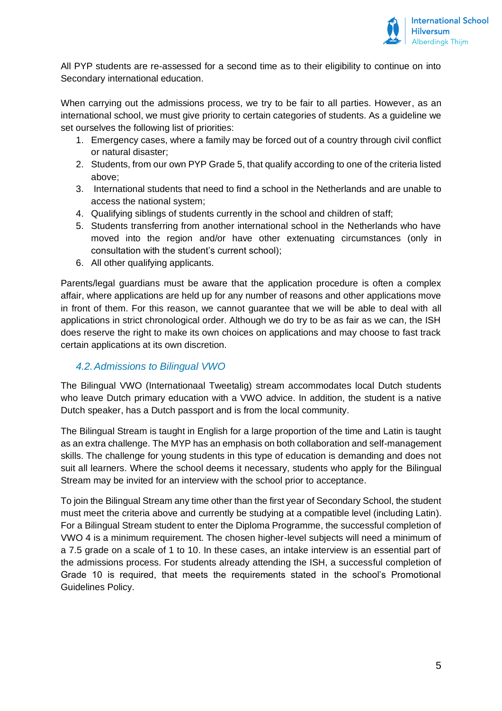

All PYP students are re-assessed for a second time as to their eligibility to continue on into Secondary international education.

When carrying out the admissions process, we try to be fair to all parties. However, as an international school, we must give priority to certain categories of students. As a guideline we set ourselves the following list of priorities:

- 1. Emergency cases, where a family may be forced out of a country through civil conflict or natural disaster;
- 2. Students, from our own PYP Grade 5, that qualify according to one of the criteria listed above;
- 3. International students that need to find a school in the Netherlands and are unable to access the national system;
- 4. Qualifying siblings of students currently in the school and children of staff;
- 5. Students transferring from another international school in the Netherlands who have moved into the region and/or have other extenuating circumstances (only in consultation with the student's current school);
- 6. All other qualifying applicants.

Parents/legal guardians must be aware that the application procedure is often a complex affair, where applications are held up for any number of reasons and other applications move in front of them. For this reason, we cannot guarantee that we will be able to deal with all applications in strict chronological order. Although we do try to be as fair as we can, the ISH does reserve the right to make its own choices on applications and may choose to fast track certain applications at its own discretion.

#### <span id="page-4-0"></span>*4.2.Admissions to Bilingual VWO*

The Bilingual VWO (Internationaal Tweetalig) stream accommodates local Dutch students who leave Dutch primary education with a VWO advice. In addition, the student is a native Dutch speaker, has a Dutch passport and is from the local community.

The Bilingual Stream is taught in English for a large proportion of the time and Latin is taught as an extra challenge. The MYP has an emphasis on both collaboration and self-management skills. The challenge for young students in this type of education is demanding and does not suit all learners. Where the school deems it necessary, students who apply for the Bilingual Stream may be invited for an interview with the school prior to acceptance.

To join the Bilingual Stream any time other than the first year of Secondary School, the student must meet the criteria above and currently be studying at a compatible level (including Latin). For a Bilingual Stream student to enter the Diploma Programme, the successful completion of VWO 4 is a minimum requirement. The chosen higher-level subjects will need a minimum of a 7.5 grade on a scale of 1 to 10. In these cases, an intake interview is an essential part of the admissions process. For students already attending the ISH, a successful completion of Grade 10 is required, that meets the requirements stated in the school's Promotional Guidelines Policy.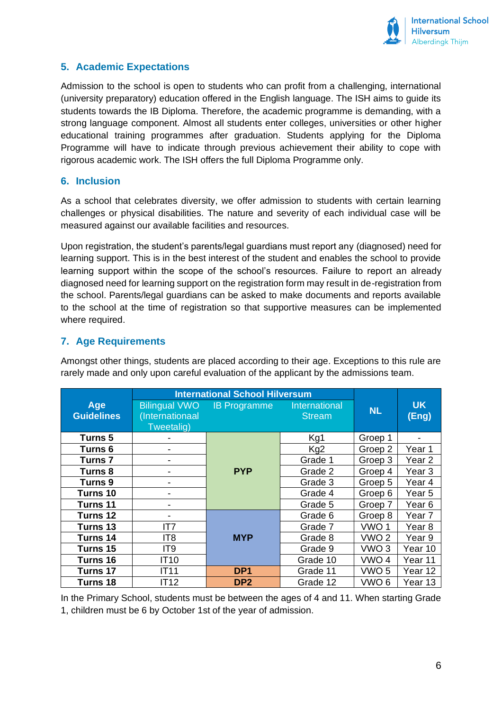

# <span id="page-5-0"></span>**5. Academic Expectations**

Admission to the school is open to students who can profit from a challenging, international (university preparatory) education offered in the English language. The ISH aims to guide its students towards the IB Diploma. Therefore, the academic programme is demanding, with a strong language component. Almost all students enter colleges, universities or other higher educational training programmes after graduation. Students applying for the Diploma Programme will have to indicate through previous achievement their ability to cope with rigorous academic work. The ISH offers the full Diploma Programme only.

#### <span id="page-5-1"></span>**6. Inclusion**

As a school that celebrates diversity, we offer admission to students with certain learning challenges or physical disabilities. The nature and severity of each individual case will be measured against our available facilities and resources.

Upon registration, the student's parents/legal guardians must report any (diagnosed) need for learning support. This is in the best interest of the student and enables the school to provide learning support within the scope of the school's resources. Failure to report an already diagnosed need for learning support on the registration form may result in de-registration from the school. Parents/legal guardians can be asked to make documents and reports available to the school at the time of registration so that supportive measures can be implemented where required.

#### <span id="page-5-2"></span>**7. Age Requirements**

Amongst other things, students are placed according to their age. Exceptions to this rule are rarely made and only upon careful evaluation of the applicant by the admissions team.

|                          | <b>International School Hilversum</b>                 |                     |                                |                  |                    |
|--------------------------|-------------------------------------------------------|---------------------|--------------------------------|------------------|--------------------|
| Age<br><b>Guidelines</b> | <b>Bilingual VWO</b><br>(Internationaal<br>Tweetalig) | <b>IB Programme</b> | International<br><b>Stream</b> | <b>NL</b>        | <b>UK</b><br>(Eng) |
| Turns 5                  |                                                       |                     | Kg1                            | Groep 1          |                    |
| Turns <sub>6</sub>       |                                                       | <b>PYP</b>          | Kg <sub>2</sub>                | Groep 2          | Year 1             |
| Turns <sub>7</sub>       |                                                       |                     | Grade 1                        | Groep 3          | Year <sub>2</sub>  |
| Turns 8                  |                                                       |                     | Grade 2                        | Groep 4          | Year 3             |
| Turns 9                  |                                                       |                     | Grade 3                        | Groep 5          | Year 4             |
| Turns 10                 |                                                       |                     | Grade 4                        | Groep 6          | Year 5             |
| Turns 11                 |                                                       |                     | Grade 5                        | Groep 7          | Year <sub>6</sub>  |
| Turns 12                 |                                                       |                     | Grade 6                        | Groep 8          | Year 7             |
| Turns 13                 | IT7                                                   |                     | Grade 7                        | VWO <sub>1</sub> | Year <sub>8</sub>  |
| Turns 14                 | IT <sub>8</sub>                                       | <b>MYP</b>          | Grade 8                        | VWO <sub>2</sub> | Year 9             |
| Turns 15                 | IT <sub>9</sub>                                       |                     | Grade 9                        | VWO <sub>3</sub> | Year 10            |
| Turns 16                 | <b>IT10</b>                                           |                     | Grade 10                       | VWO <sub>4</sub> | Year 11            |
| Turns 17                 | <b>IT11</b>                                           | DP <sub>1</sub>     | Grade 11                       | VWO <sub>5</sub> | Year 12            |
| Turns 18                 | IT12                                                  | DP <sub>2</sub>     | Grade 12                       | VWO <sub>6</sub> | Year 13            |

In the Primary School, students must be between the ages of 4 and 11. When starting Grade 1, children must be 6 by October 1st of the year of admission.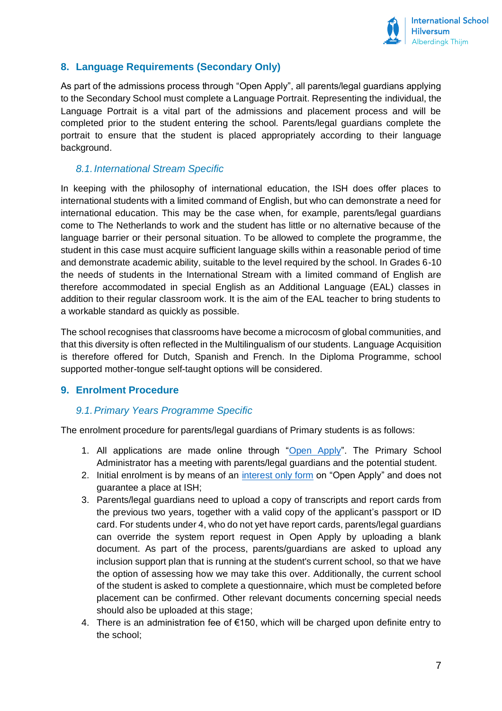

# <span id="page-6-0"></span>**8. Language Requirements (Secondary Only)**

As part of the admissions process through "Open Apply", all parents/legal guardians applying to the Secondary School must complete a Language Portrait. Representing the individual, the Language Portrait is a vital part of the admissions and placement process and will be completed prior to the student entering the school. Parents/legal guardians complete the portrait to ensure that the student is placed appropriately according to their language background.

#### <span id="page-6-1"></span>*8.1.International Stream Specific*

In keeping with the philosophy of international education, the ISH does offer places to international students with a limited command of English, but who can demonstrate a need for international education. This may be the case when, for example, parents/legal guardians come to The Netherlands to work and the student has little or no alternative because of the language barrier or their personal situation. To be allowed to complete the programme, the student in this case must acquire sufficient language skills within a reasonable period of time and demonstrate academic ability, suitable to the level required by the school. In Grades 6-10 the needs of students in the International Stream with a limited command of English are therefore accommodated in special English as an Additional Language (EAL) classes in addition to their regular classroom work. It is the aim of the EAL teacher to bring students to a workable standard as quickly as possible.

The school recognises that classrooms have become a microcosm of global communities, and that this diversity is often reflected in the Multilingualism of our students. Language Acquisition is therefore offered for Dutch, Spanish and French. In the Diploma Programme, school supported mother-tongue self-taught options will be considered.

#### <span id="page-6-2"></span>**9. Enrolment Procedure**

#### <span id="page-6-3"></span>*9.1.Primary Years Programme Specific*

The enrolment procedure for parents/legal guardians of Primary students is as follows:

- 1. All applications are made online through ["Open Apply"](https://ishilversum.openapply.com/pages/6734). The Primary School Administrator has a meeting with parents/legal guardians and the potential student.
- 2. Initial enrolment is by means of an [interest only form](https://ishilversum.openapply.com/roi) on "Open Apply" and does not guarantee a place at ISH;
- 3. Parents/legal guardians need to upload a copy of transcripts and report cards from the previous two years, together with a valid copy of the applicant's passport or ID card. For students under 4, who do not yet have report cards, parents/legal guardians can override the system report request in Open Apply by uploading a blank document. As part of the process, parents/guardians are asked to upload any inclusion support plan that is running at the student's current school, so that we have the option of assessing how we may take this over. Additionally, the current school of the student is asked to complete a questionnaire, which must be completed before placement can be confirmed. Other relevant documents concerning special needs should also be uploaded at this stage;
- 4. There is an administration fee of €150, which will be charged upon definite entry to the school;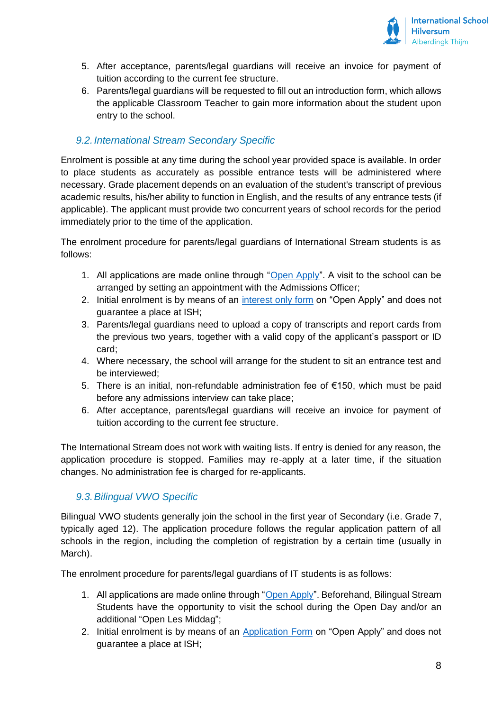

- 5. After acceptance, parents/legal guardians will receive an invoice for payment of tuition according to the current fee structure.
- 6. Parents/legal guardians will be requested to fill out an introduction form, which allows the applicable Classroom Teacher to gain more information about the student upon entry to the school.

## <span id="page-7-0"></span>*9.2.International Stream Secondary Specific*

Enrolment is possible at any time during the school year provided space is available. In order to place students as accurately as possible entrance tests will be administered where necessary. Grade placement depends on an evaluation of the student's transcript of previous academic results, his/her ability to function in English, and the results of any entrance tests (if applicable). The applicant must provide two concurrent years of school records for the period immediately prior to the time of the application.

The enrolment procedure for parents/legal guardians of International Stream students is as follows:

- 1. All applications are made online through ["Open Apply"](https://ishilversum.openapply.com/pages/6734). A visit to the school can be arranged by setting an appointment with the Admissions Officer;
- 2. Initial enrolment is by means of an [interest only form](https://ishilversum.openapply.com/roi) on "Open Apply" and does not guarantee a place at ISH;
- 3. Parents/legal guardians need to upload a copy of transcripts and report cards from the previous two years, together with a valid copy of the applicant's passport or ID card;
- 4. Where necessary, the school will arrange for the student to sit an entrance test and be interviewed;
- 5. There is an initial, non-refundable administration fee of €150, which must be paid before any admissions interview can take place;
- 6. After acceptance, parents/legal guardians will receive an invoice for payment of tuition according to the current fee structure.

The International Stream does not work with waiting lists. If entry is denied for any reason, the application procedure is stopped. Families may re-apply at a later time, if the situation changes. No administration fee is charged for re-applicants.

#### <span id="page-7-1"></span>*9.3.Bilingual VWO Specific*

Bilingual VWO students generally join the school in the first year of Secondary (i.e. Grade 7, typically aged 12). The application procedure follows the regular application pattern of all schools in the region, including the completion of registration by a certain time (usually in March).

The enrolment procedure for parents/legal guardians of IT students is as follows:

- 1. All applications are made online through ["Open Apply"](https://ishilversum.openapply.com/pages/6734). Beforehand, Bilingual Stream Students have the opportunity to visit the school during the Open Day and/or an additional "Open Les Middag";
- 2. Initial enrolment is by means of an [Application Form](https://ishilversum.openapply.com/) on "Open Apply" and does not guarantee a place at ISH;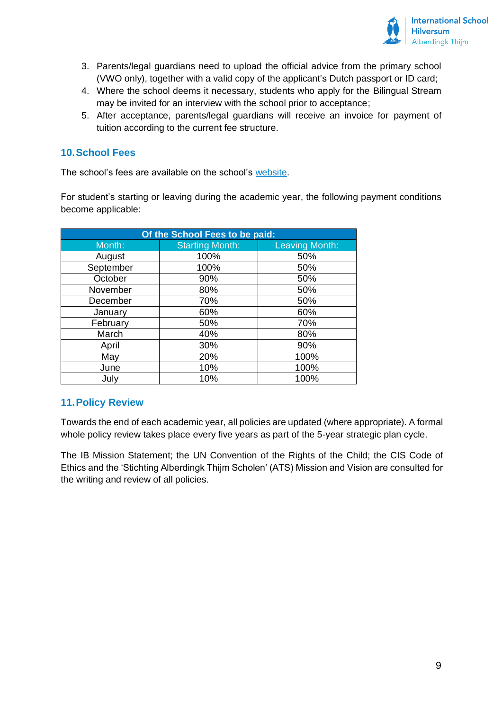

- 3. Parents/legal guardians need to upload the official advice from the primary school (VWO only), together with a valid copy of the applicant's Dutch passport or ID card;
- 4. Where the school deems it necessary, students who apply for the Bilingual Stream may be invited for an interview with the school prior to acceptance;
- 5. After acceptance, parents/legal guardians will receive an invoice for payment of tuition according to the current fee structure.

#### <span id="page-8-0"></span>**10.School Fees**

The school's fees are available on the school's [website.](https://www.ishilversum.nl/admissions/school-fees)

For student's starting or leaving during the academic year, the following payment conditions become applicable:

| Of the School Fees to be paid: |                        |                       |  |  |  |  |
|--------------------------------|------------------------|-----------------------|--|--|--|--|
| Month:                         | <b>Starting Month:</b> | <b>Leaving Month:</b> |  |  |  |  |
| August                         | 100%                   | 50%                   |  |  |  |  |
| September                      | 100%                   | 50%                   |  |  |  |  |
| October                        | 90%                    | 50%                   |  |  |  |  |
| November                       | 80%                    | 50%                   |  |  |  |  |
| December                       | 70%                    | 50%                   |  |  |  |  |
| January                        | 60%                    | 60%                   |  |  |  |  |
| February                       | 50%                    | 70%                   |  |  |  |  |
| March                          | 40%                    | 80%                   |  |  |  |  |
| April                          | 30%                    | 90%                   |  |  |  |  |
| May                            | 20%                    | 100%                  |  |  |  |  |
| June                           | 10%                    | 100%                  |  |  |  |  |
| July                           | 10%                    | 100%                  |  |  |  |  |

## <span id="page-8-1"></span>**11.Policy Review**

Towards the end of each academic year, all policies are updated (where appropriate). A formal whole policy review takes place every five years as part of the 5-year strategic plan cycle.

The IB Mission Statement; the UN Convention of the Rights of the Child; the CIS Code of Ethics and the 'Stichting Alberdingk Thijm Scholen' (ATS) Mission and Vision are consulted for the writing and review of all policies.